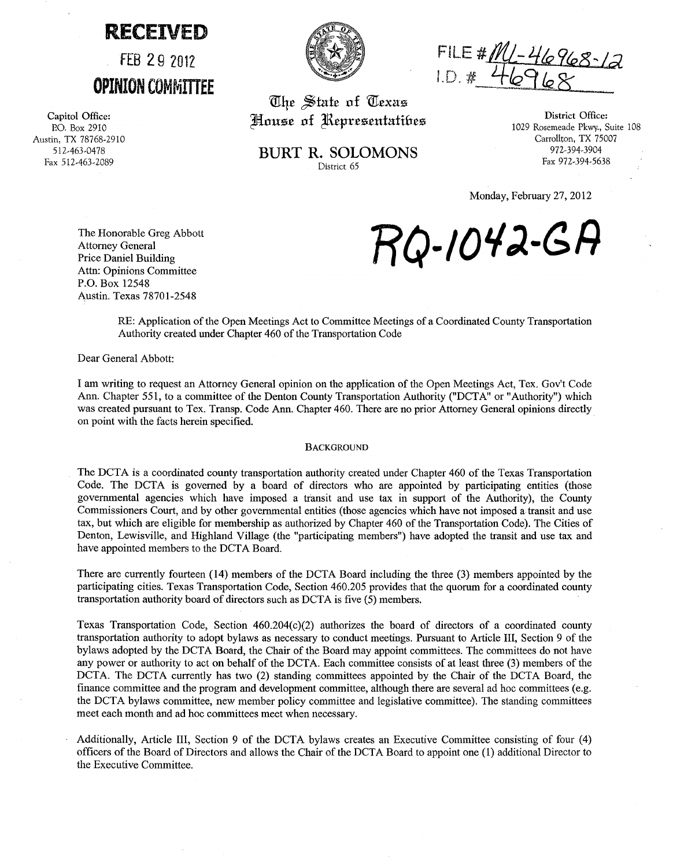## **RECEIVED**

FEB 29 2012 **OPINION COMMITTEE** 

Capitol Office: P.O. Box 2910 Austin, TX 78768-2910 512-463-0478 Fax 512-463-2089



FILE # <u>ML-46968-1</u>2<br>I.D. # 46968

w:~£ ~tnt£ **of** *W:£xns*  House of *Representatives* 

**BURT R. SOLOMONS**  District 65

District Office: 1029 Rosemeade Pkwy., Suite 108 Carrollton, TX 75007 972-394-3904 Fax 972-394-5638

Monday, February 27, 2012

The Honorable Greg Abbott Attorney General Price Daniel Building Attn: Opinions Committee P.O. Box 12548 Austin. Texas 78701-2548

**RQ-/Ol/;).-GA** 

RE: Application of the Open Meetings Act to Committee Meetings of a Coordinated County Transportation Authority created under Chapter 460 of the Transportation Code

Dear General Abbott:

I am writing to request an Attorney General opinion on the application of the Open Meetings Act, Tex. Gov't Code Ann. Chapter 551, to a committee of the Denton County Transportation Authority ("DCTA" or "Authority") which was created pursuant to Tex. Transp. Code Ann. Chapter 460. There are no prior Attorney General opinions directly on point witll the facts herein specified.

## **BACKGROUND**

The DCTA is a coordinated county transportation authority created under Chapter 460 of the Texas Transportation Code. The DCTA is governed by a board of directors who are appointed by participating entities (those governmental agencies which have imposed a transit and use tax in support of the Authority), the County Commissioners Court, and by other governmental entities (those agencies which have not imposed a transit and use tax, but which are eligible for membership as authorized by Chapter 460 of the Transportation Code). The Cities of Denton, Lewisville, and Highland Village (the "participating members") have adopted the transit and use tax and have appointed members to the DCTA Board.

There are currently fourteen (14) members of the DCTA Board including the three (3) members appointed by the participating cities. Texas Transportation Code, Section 460.205 provides that the quorum for a coordinated county transportation authority board of directors such as DCTA is five (5) members.

Texas Transportation Code, Section  $460.204(c)(2)$  authorizes the board of directors of a coordinated county transportation authority to adopt bylaws as necessary to conduct meetings. Pursuant to Article III, Section 9 of the bylaws adopted by the DCTA Board, the Chair of the Board may appoint committees. The committees do not have any power or authority to act on behalf of the DCTA. Each committee consists of at least three (3) members of the DCTA. The DCTA currently has two (2) standing committees appointed by the Chair of the DCTA Board, the finance committee and the program and development committee, although there are several ad hoc committees (e.g. the DCTA bylaws committee, new member policy committee and legislative committee). The standing committees meet each month and ad hoc committees meet when necessary.

Additionally, Article III, Section 9 of the DCTA bylaws creates an Executive Committee consisting of four (4) officers of the Board of Directors and allows the Chair of the DCTA Board to appoint one (1) additional Director to the Executive Committee.